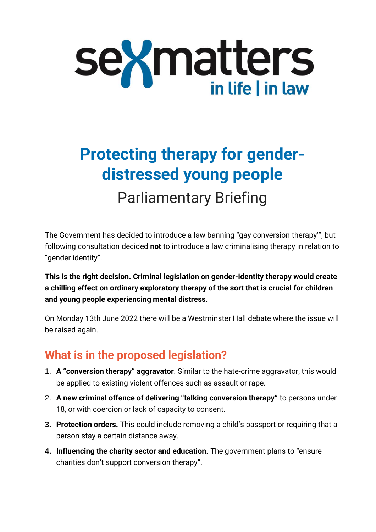

# **Protecting therapy for genderdistressed young people** Parliamentary Briefing

The Government has decided to introduce a law banning "gay conversion therapy'", but following consultation decided **not** to introduce a law criminalising therapy in relation to "gender identity".

**This is the right decision. Criminal legislation on gender-identity therapy would create a chilling effect on ordinary exploratory therapy of the sort that is crucial for children and young people experiencing mental distress.**

On Monday 13th June 2022 there will be a Westminster Hall debate where the issue will be raised again.

### **What is in the proposed legislation?**

- 1. **A "conversion therapy" aggravator**. Similar to the hate-crime aggravator, this would be applied to existing violent offences such as assault or rape.
- 2. **A new criminal offence of delivering "talking conversion therapy"** to persons under 18, or with coercion or lack of capacity to consent.
- **3. Protection orders.** This could include removing a child's passport or requiring that a person stay a certain distance away.
- **4. Influencing the charity sector and education.** The government plans to "ensure charities don't support conversion therapy".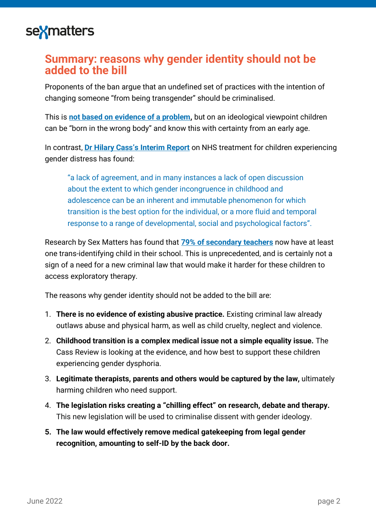

#### **Summary: reasons why gender identity should not be added to the bill**

Proponents of the ban argue that an undefined set of practices with the intention of changing someone "from being transgender" should be criminalised.

This is **[not based on evidence of a problem,](https://sex-matters.org/wp-content/uploads/2021/11/Coventry-University-research-on-conversion-therapy.pdf)** but on an ideological viewpoint children can be "born in the wrong body" and know this with certainty from an early age.

In contrast, **[Dr Hilary Cass's Interim](https://cass.independent-review.uk/publications/interim-report/) Report** on NHS treatment for children experiencing gender distress has found:

"a lack of agreement, and in many instances a lack of open discussion about the extent to which gender incongruence in childhood and adolescence can be an inherent and immutable phenomenon for which transition is the best option for the individual, or a more fluid and temporal response to a range of developmental, social and psychological factors".

Research by Sex Matters has found that **[79% of secondary teachers](https://sex-matters.org/posts/updates/school-survey/)** now have at least one trans-identifying child in their school. This is unprecedented, and is certainly not a sign of a need for a new criminal law that would make it harder for these children to access exploratory therapy.

The reasons why gender identity should not be added to the bill are:

- 1. **There is no evidence of existing abusive practice.** Existing criminal law already outlaws abuse and physical harm, as well as child cruelty, neglect and violence.
- 2. **Childhood transition is a complex medical issue not a simple equality issue.** The Cass Review is looking at the evidence, and how best to support these children experiencing gender dysphoria.
- 3. **Legitimate therapists, parents and others would be captured by the law,** ultimately harming children who need support.
- 4. **The legislation risks creating a "chilling effect" on research, debate and therapy.** This new legislation will be used to criminalise dissent with gender ideology.
- **5. The law would effectively remove medical gatekeeping from legal gender recognition, amounting to self-ID by the back door.**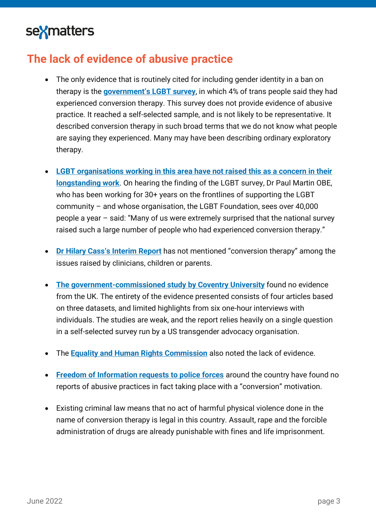### **The lack of evidence of abusive practice**

- The only evidence that is routinely cited for including gender identity in a ban on therapy is the **[government's LGBT survey](https://sex-matters.org/posts/updates/is-there-evidence-of-an-urgent-epidemic-of-conversion-therapy/)**, in which 4% of trans people said they had experienced conversion therapy. This survey does not provide evidence of abusive practice. It reached a self-selected sample, and is not likely to be representative. It described conversion therapy in such broad terms that we do not know what people are saying they experienced. Many may have been describing ordinary exploratory therapy.
- **LGBT organisations [working in this area have not raised this as a concern](https://sex-matters.org/wp-content/uploads/2022/05/Why-ban-talking-therapy.pdf) in their [longstanding work](https://sex-matters.org/wp-content/uploads/2022/05/Why-ban-talking-therapy.pdf)**. On hearing the finding of the LGBT survey, Dr Paul Martin OBE, who has been working for 30+ years on the frontlines of supporting the LGBT community – and whose organisation, the LGBT Foundation, sees over 40,000 people a year – said: "Many of us were extremely surprised that the national survey raised such a large number of people who had experienced conversion therapy."
- **Dr Hilary [Cass's Interi](https://cass.independent-review.uk/publications/interim-report/)m Report** has not mentioned "conversion therapy" among the issues raised by clinicians, children or parents.
- **[The government-commissioned study by Coventry University](https://sex-matters.org/wp-content/uploads/2021/11/Coventry-University-research-on-conversion-therapy.pdf)** found no evidence from the UK. The entirety of the evidence presented consists of four articles based on three datasets, and limited highlights from six one-hour interviews with individuals. The studies are weak, and the report relies heavily on a single question in a self-selected survey run by a US transgender advocacy organisation.
- The **[Equality and Human Rights Commission](https://www.equalityhumanrights.com/sites/default/files/consultation-response-banning-conversion-therapy-26-january-2022.docx)** also noted the lack of evidence.
- **[Freedom of Information requests to police forces](https://www.conservativehome.com/platform/2021/11/maya-forstater-a-conversion-therapy-ban-could-leave-unhappy-children-medicalised-sterilised-and-left-with-impaired-sexual-function.html)** around the country have found no reports of abusive practices in fact taking place with a "conversion" motivation.
- Existing criminal law means that no act of harmful physical violence done in the name of conversion therapy is legal in this country. Assault, rape and the forcible administration of drugs are already punishable with fines and life imprisonment.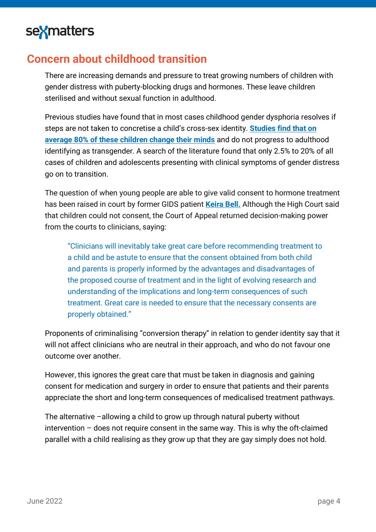### **Concern about childhood transition**

There are increasing demands and pressure to treat growing numbers of children with gender distress with puberty-blocking drugs and hormones. These leave children sterilised and without sexual function in adulthood.

Previous studies have found that in most cases childhood gender dysphoria resolves if steps are not taken to concretise a child's cross-sex identity. **[Studies find that on](https://www.transgendertrend.com/children-change-minds/)  [average 80% of these children change their minds](https://www.transgendertrend.com/children-change-minds/)** and do not progress to adulthood identifying as transgender. A search of the literature found that only 2.5% to 20% of all cases of children and adolescents presenting with clinical symptoms of gender distress go on to transition.

The question of when young people are able to give valid consent to hormone treatment has been raised in court by former GIDS patient **[Keira Bell.](https://transparencyproject.org.uk/bell-v-tavistock-court-of-appeal-judgment-an-explainer/)** Although the High Court said that children could not consent, the Court of Appeal returned decision-making power from the courts to clinicians, saying:

"Clinicians will inevitably take great care before recommending treatment to a child and be astute to ensure that the consent obtained from both child and parents is properly informed by the advantages and disadvantages of the proposed course of treatment and in the light of evolving research and understanding of the implications and long-term consequences of such treatment. Great care is needed to ensure that the necessary consents are properly obtained."

Proponents of criminalising "conversion therapy" in relation to gender identity say that it will not affect clinicians who are neutral in their approach, and who do not favour one outcome over another.

However, this ignores the great care that must be taken in diagnosis and gaining consent for medication and surgery in order to ensure that patients and their parents appreciate the short and long-term consequences of medicalised treatment pathways.

The alternative –allowing a child to grow up through natural puberty without intervention – does not require consent in the same way. This is why the oft-claimed parallel with a child realising as they grow up that they are gay simply does not hold.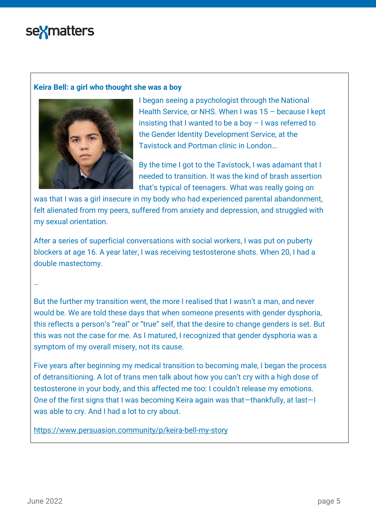#### **Keira Bell: a girl who thought she was a boy**



I began seeing a psychologist through the National Health Service, or NHS. When I was 15 – because I kept insisting that I wanted to be a boy – I was referred to the Gender Identity Development Service, at the Tavistock and Portman clinic in London…

By the time I got to the Tavistock, I was adamant that I needed to transition. It was the kind of brash assertion that's typical of teenagers. What was really going on

was that I was a girl insecure in my body who had experienced parental abandonment, felt alienated from my peers, suffered from anxiety and depression, and struggled with my sexual orientation.

After a series of superficial conversations with social workers, I was put on puberty blockers at age 16. A year later, I was receiving testosterone shots. When 20, I had a double mastectomy.

#### …

But the further my transition went, the more I realised that I wasn't a man, and never would be. We are told these days that when someone presents with gender dysphoria, this reflects a person's "real" or "true" self, that the desire to change genders is set. But this was not the case for me. As I matured, I recognized that gender dysphoria was a symptom of my overall misery, not its cause.

Five years after beginning my medical transition to becoming male, I began the process of detransitioning. A lot of trans men talk about how you can't cry with a high dose of testosterone in your body, and this affected me too: I couldn't release my emotions. One of the first signs that I was becoming Keira again was that—thankfully, at last—I was able to cry. And I had a lot to cry about.

<https://www.persuasion.community/p/keira-bell-my-story>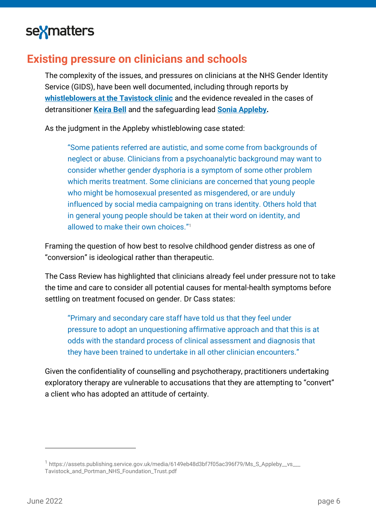#### **Existing pressure on clinicians and schools**

The complexity of the issues, and pressures on clinicians at the NHS Gender Identity Service (GIDS), have been well documented, including through reports by **whistleblowers at [the Tavistock clinic](https://www.theguardian.com/society/2021/may/02/tavistock-trust-whistleblower-david-bell-transgender-children-gids)** and the evidence revealed in the cases of detransitioner **[Keira Bell](https://www.persuasion.community/p/keira-bell-my-story?s=r)** and the safeguarding lead **[Sonia Appleby.](https://assets.publishing.service.gov.uk/media/6149eb48d3bf7f05ac396f79/Ms_S_Appleby__vs___Tavistock_and_Portman_NHS_Foundation_Trust.pdf)**

As the judgment in the Appleby whistleblowing case stated:

"Some patients referred are autistic, and some come from backgrounds of neglect or abuse. Clinicians from a psychoanalytic background may want to consider whether gender dysphoria is a symptom of some other problem which merits treatment. Some clinicians are concerned that young people who might be homosexual presented as misgendered, or are unduly influenced by social media campaigning on trans identity. Others hold that in general young people should be taken at their word on identity, and allowed to make their own choices "1

Framing the question of how best to resolve childhood gender distress as one of "conversion" is ideological rather than therapeutic.

The Cass Review has highlighted that clinicians already feel under pressure not to take the time and care to consider all potential causes for mental-health symptoms before settling on treatment focused on gender. Dr Cass states:

"Primary and secondary care staff have told us that they feel under pressure to adopt an unquestioning affirmative approach and that this is at odds with the standard process of clinical assessment and diagnosis that they have been trained to undertake in all other clinician encounters."

Given the confidentiality of counselling and psychotherapy, practitioners undertaking exploratory therapy are vulnerable to accusations that they are attempting to "convert" a client who has adopted an attitude of certainty.

<sup>&</sup>lt;sup>1</sup> [https://assets.publishing.service.gov.uk/media/6149eb48d3bf7f05ac396f79/Ms\\_S\\_Appleby\\_\\_vs\\_\\_\\_](https://assets.publishing.service.gov.uk/media/6149eb48d3bf7f05ac396f79/Ms_S_Appleby__vs___Tavistock_and_Portman_NHS_Foundation_Trust.pdf) [Tavistock\\_and\\_Portman\\_NHS\\_Foundation\\_Trust.pdf](https://assets.publishing.service.gov.uk/media/6149eb48d3bf7f05ac396f79/Ms_S_Appleby__vs___Tavistock_and_Portman_NHS_Foundation_Trust.pdf)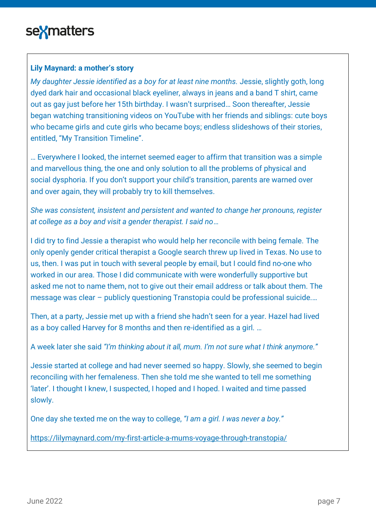#### **Lily Maynard: a mother's story**

*My daughter Jessie identified as a boy for at least nine months. Jessie, slightly goth, long* dyed dark hair and occasional black eyeliner, always in jeans and a band T shirt, came out as gay just before her 15th birthday. I wasn't surprised… Soon thereafter, Jessie began watching [transitioning videos](https://www.youtube.com/watch?v=ooD2mcbXbrI) on YouTube with her friends and siblings: [cute boys](https://www.youtube.com/watch?v=XrxQl3Uu1rg)  [who became girls](https://www.youtube.com/watch?v=XrxQl3Uu1rg) and [cute girls who became boys;](https://www.youtube.com/watch?v=tA920UOOzkY) endless [slideshows of their stories,](https://www.youtube.com/watch?v=tyd82y8tFOg) entitled, "My Transition Timeline".

… Everywhere I looked, the internet seemed eager to affirm that transition was a simple and marvellous thing, the one and only solution to all the problems of physical and social dysphoria. If you don't support your child's transition, parents are warned over and over again, [they will probably try to kill themselves.](https://www.facebook.com/BuzzFeedLGBT/?fref=nf)

*She was consistent, insistent and persistent and wanted to change her pronouns, register at college as a boy and visit a gender therapist. I said no*…

I did try to find Jessie a therapist who would help her reconcile with being female. The only [openly gender critical therapist](http://inspiredteentherapy.com/blog/) a Google search threw up lived in Texas. No use to us, then. I was put in touch with several people by email, but I could find no-one who worked in our area. Those I did communicate with were wonderfully supportive but asked me not to name them, not to give out their email address or talk about them. The message was clear – publicly questioning Transtopia could be professional suicide.…

Then, at a party, Jessie met up with a friend she hadn't seen for a year. Hazel had lived as a boy called Harvey for 8 months and then re-identified as a girl. …

A week later she said *"I'm thinking about it all, mum. I'm not sure what I think anymore."*

Jessie started at college and had never seemed so happy. Slowly, she seemed to begin reconciling with her femaleness. Then she told me she wanted to tell me something 'later'. I thought I knew, I suspected, I hoped and I hoped. I waited and time passed slowly.

One day she texted me on the way to college, *"I am a girl. I was never a boy."*

<https://lilymaynard.com/my-first-article-a-mums-voyage-through-transtopia/>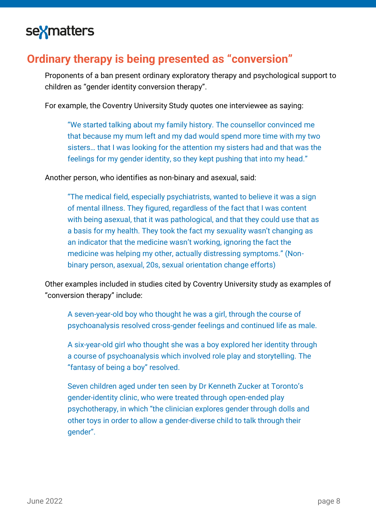### **Ordinary therapy is being presented as "conversion"**

Proponents of a ban present ordinary exploratory therapy and psychological support to children as "gender identity conversion therapy".

For example, the Coventry University Study quotes one interviewee as saying:

"We started talking about my family history. The counsellor convinced me that because my mum left and my dad would spend more time with my two sisters… that I was looking for the attention my sisters had and that was the feelings for my gender identity, so they kept pushing that into my head."

Another person, who identifies as non-binary and asexual, said:

"The medical field, especially psychiatrists, wanted to believe it was a sign of mental illness. They figured, regardless of the fact that I was content with being asexual, that it was pathological, and that they could use that as a basis for my health. They took the fact my sexuality wasn't changing as an indicator that the medicine wasn't working, ignoring the fact the medicine was helping my other, actually distressing symptoms." (Nonbinary person, asexual, 20s, sexual orientation change efforts)

Other examples included in studies cited by Coventry University study as examples of "conversion therapy" include:

A seven-year-old boy who thought he was a girl, through the course of psychoanalysis resolved cross-gender feelings and continued life as male.

A six-year-old girl who thought she was a boy explored her identity through a course of psychoanalysis which involved role play and storytelling. The "fantasy of being a boy" resolved.

Seven children aged under ten seen by Dr Kenneth Zucker at Toronto's gender-identity clinic, who were treated through open-ended play psychotherapy, in which "the clinician explores gender through dolls and other toys in order to allow a gender-diverse child to talk through their gender".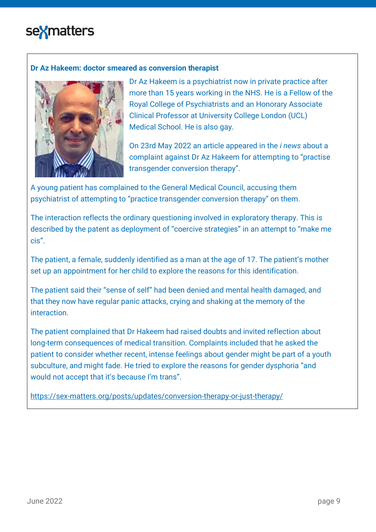#### **Dr Az Hakeem: doctor smeared as conversion therapist**



Dr Az Hakeem is a psychiatrist now in private practice after more than 15 years working in the NHS. He is a Fellow of the Royal College of Psychiatrists and an Honorary Associate Clinical Professor at University College London (UCL) Medical School. He is also gay.

On 23rd May 2022 an article appeared in the *i news* about a complaint against Dr Az Hakeem for attempting to "practise transgender conversion therapy".

A young patient has complained to the General Medical Council, accusing them psychiatrist of attempting to "practice transgender conversion therapy" on them.

The interaction reflects the ordinary questioning involved in exploratory therapy. This is described by the patent as deployment of "coercive strategies" in an attempt to "make me cis".

The patient, a female, suddenly identified as a man at the age of 17. The patient's mother set up an appointment for her child to explore the reasons for this identification.

The patient said their "sense of self" had been denied and mental health damaged, and that they now have regular panic attacks, crying and shaking at the memory of the interaction.

The patient complained that Dr Hakeem had raised doubts and invited reflection about long-term consequences of medical transition. Complaints included that he asked the patient to consider whether recent, intense feelings about gender might be part of a youth subculture, and might fade. He tried to explore the reasons for gender dysphoria "and would not accept that it's because I'm trans".

<https://sex-matters.org/posts/updates/conversion-therapy-or-just-therapy/>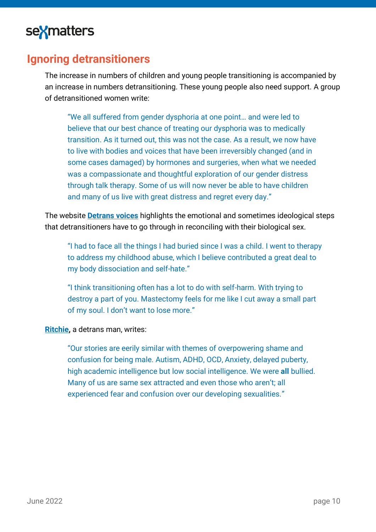

#### **Ignoring detransitioners**

The increase in numbers of children and young people transitioning is accompanied by an increase in numbers detransitioning. These young people also need support. A group of detransitioned women write:

"We all suffered from gender dysphoria at one point… and were led to believe that our best chance of treating our dysphoria was to medically transition. As it turned out, this was not the case. As a result, we now have to live with bodies and voices that have been irreversibly changed (and in some cases damaged) by hormones and surgeries, when what we needed was a compassionate and thoughtful exploration of our gender distress through talk therapy. Some of us will now never be able to have children and many of us live with great distress and regret every day."

The website **[Detrans](https://www.detransvoices.org/) voices** highlights the emotional and sometimes ideological steps that detransitioners have to go through in reconciling with their biological sex.

"I had to face all the things I had buried since I was a child. I went to therapy to address my childhood abuse, which I believe contributed a great deal to my body dissociation and self-hate."

"I think transitioning often has a lot to do with self-harm. With trying to destroy a part of you. Mastectomy feels for me like I cut away a small part of my soul. I don't want to lose more."

**[Ritchie,](https://tullipr.substack.com/p/lost-boys?s=r)** a detrans man, writes:

"Our stories are eerily similar with themes of overpowering shame and confusion for being male. Autism, ADHD, OCD, Anxiety, delayed puberty, high academic intelligence but low social intelligence. We were **all** bullied. Many of us are same sex attracted and even those who aren't; all experienced fear and confusion over our developing sexualities."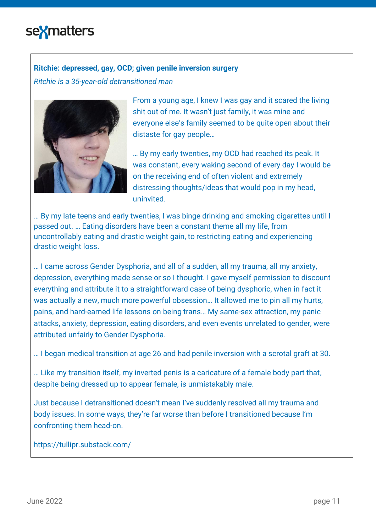#### **Ritchie: depressed, gay, OCD; given penile inversion surgery**

*Ritchie is a 35-year-old detransitioned man* 



From a young age, I knew I was gay and it scared the living shit out of me. It wasn't just family, it was mine and everyone else's family seemed to be quite open about their distaste for gay people…

… By my early twenties, my OCD had reached its peak. It was constant, every waking second of every day I would be on the receiving end of often violent and extremely distressing thoughts/ideas that would pop in my head, uninvited.

… By my late teens and early twenties, I was binge drinking and smoking cigarettes until I passed out. … Eating disorders have been a constant theme all my life, from uncontrollably eating and drastic weight gain, to restricting eating and experiencing drastic weight loss.

… I came across Gender Dysphoria, and all of a sudden, all my trauma, all my anxiety, depression, everything made sense or so I thought. I gave myself permission to discount everything and attribute it to a straightforward case of being dysphoric, when in fact it was actually a new, much more powerful obsession… It allowed me to pin all my hurts, pains, and hard-earned life lessons on being trans… My same-sex attraction, my panic attacks, anxiety, depression, eating disorders, and even events unrelated to gender, were attributed unfairly to Gender Dysphoria.

… I began medical transition at age 26 and had penile inversion with a scrotal graft at 30.

… Like my transition itself, my inverted penis is a caricature of a female body part that, despite being dressed up to appear female, is unmistakably male.

Just because I detransitioned doesn't mean I've suddenly resolved all my trauma and body issues. In some ways, they're far worse than before I transitioned because I'm confronting them head-on.

<https://tullipr.substack.com/>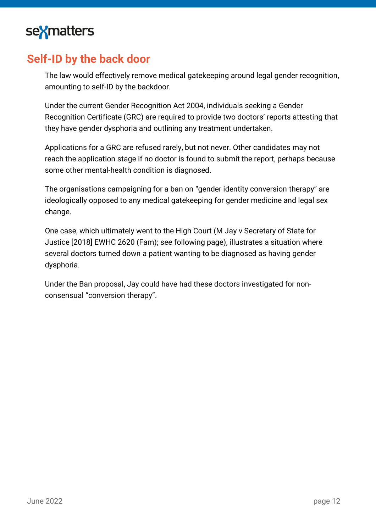### **Self-ID by the back door**

The law would effectively remove medical gatekeeping around legal gender recognition, amounting to self-ID by the backdoor.

Under the current Gender Recognition Act 2004, individuals seeking a Gender Recognition Certificate (GRC) are required to provide two doctors' reports attesting that they have gender dysphoria and outlining any treatment undertaken.

Applications for a GRC are refused rarely, but not never. Other candidates may not reach the application stage if no doctor is found to submit the report, perhaps because some other mental-health condition is diagnosed.

The organisations campaigning for a ban on "gender identity conversion therapy" are ideologically opposed to any medical gatekeeping for gender medicine and legal sex change.

One case, which ultimately went to the High Court (M Jay v Secretary of State for Justice [2018] EWHC 2620 (Fam); see following page), illustrates a situation where several doctors turned down a patient wanting to be diagnosed as having gender dysphoria.

Under the Ban proposal, Jay could have had these doctors investigated for nonconsensual "conversion therapy".